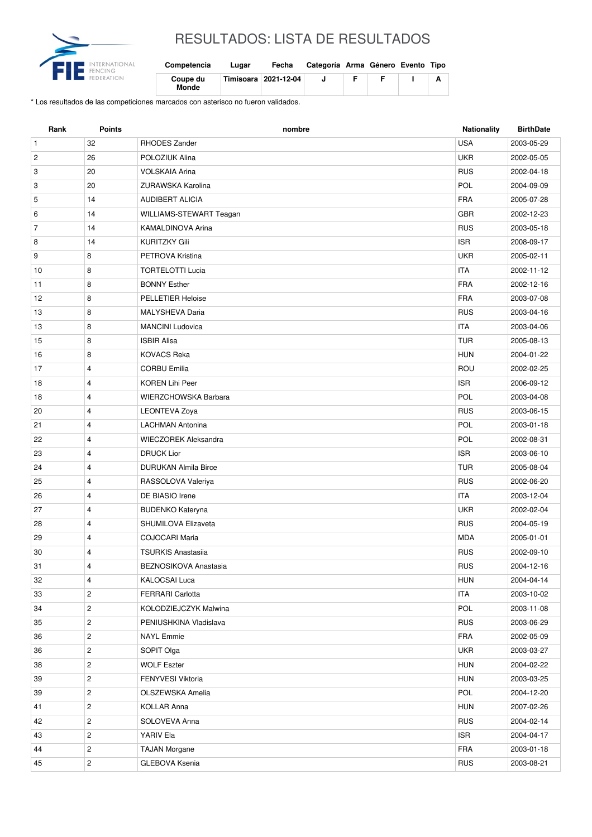

## RESULTADOS: LISTA DE RESULTADOS

| Competencia              | Lugar | Fecha                  | Categoría Arma Género Evento Tipo |  |  |
|--------------------------|-------|------------------------|-----------------------------------|--|--|
| Coupe du<br><b>Monde</b> |       | Timisoara   2021-12-04 |                                   |  |  |

\* Los resultados de las competiciones marcados con asterisco no fueron validados.

| Rank           | <b>Points</b>  | nombre                      | <b>Nationality</b> | <b>BirthDate</b> |
|----------------|----------------|-----------------------------|--------------------|------------------|
| $\mathbf{1}$   | 32             | RHODES Zander               | <b>USA</b>         | 2003-05-29       |
| $\overline{c}$ | 26             | POLOZIUK Alina              | <b>UKR</b>         | 2002-05-05       |
| 3              | 20             | <b>VOLSKAIA Arina</b>       | <b>RUS</b>         | 2002-04-18       |
| 3              | 20             | ZURAWSKA Karolina           | <b>POL</b>         | 2004-09-09       |
| 5              | 14             | AUDIBERT ALICIA             | <b>FRA</b>         | 2005-07-28       |
| 6              | 14             | WILLIAMS-STEWART Teagan     | <b>GBR</b>         | 2002-12-23       |
| $\overline{7}$ | 14             | <b>KAMALDINOVA Arina</b>    | <b>RUS</b>         | 2003-05-18       |
| 8              | 14             | <b>KURITZKY Gili</b>        | <b>ISR</b>         | 2008-09-17       |
| 9              | 8              | PETROVA Kristina            | <b>UKR</b>         | 2005-02-11       |
| 10             | 8              | <b>TORTELOTTI Lucia</b>     | <b>ITA</b>         | 2002-11-12       |
| 11             | 8              | <b>BONNY Esther</b>         | <b>FRA</b>         | 2002-12-16       |
| 12             | 8              | <b>PELLETIER Heloise</b>    | <b>FRA</b>         | 2003-07-08       |
| 13             | 8              | MALYSHEVA Daria             | <b>RUS</b>         | 2003-04-16       |
| 13             | 8              | <b>MANCINI Ludovica</b>     | <b>ITA</b>         | 2003-04-06       |
| 15             | 8              | <b>ISBIR Alisa</b>          | <b>TUR</b>         | 2005-08-13       |
| 16             | 8              | <b>KOVACS Reka</b>          | <b>HUN</b>         | 2004-01-22       |
| 17             | 4              | <b>CORBU Emilia</b>         | ROU                | 2002-02-25       |
| 18             | 4              | <b>KOREN Lihi Peer</b>      | <b>ISR</b>         | 2006-09-12       |
| 18             | 4              | WIERZCHOWSKA Barbara        | POL                | 2003-04-08       |
| 20             | $\overline{4}$ | <b>LEONTEVA Zoya</b>        | <b>RUS</b>         | 2003-06-15       |
| 21             | 4              | <b>LACHMAN Antonina</b>     | POL                | 2003-01-18       |
| 22             | 4              | <b>WIECZOREK Aleksandra</b> | POL                | 2002-08-31       |
| 23             | 4              | <b>DRUCK Lior</b>           | <b>ISR</b>         | 2003-06-10       |
| 24             | 4              | <b>DURUKAN Almila Birce</b> | <b>TUR</b>         | 2005-08-04       |
| 25             | 4              | RASSOLOVA Valeriya          | <b>RUS</b>         | 2002-06-20       |
| 26             | $\overline{4}$ | DE BIASIO Irene             | <b>ITA</b>         | 2003-12-04       |
| 27             | 4              | <b>BUDENKO Kateryna</b>     | <b>UKR</b>         | 2002-02-04       |
| 28             | 4              | <b>SHUMILOVA Elizaveta</b>  | <b>RUS</b>         | 2004-05-19       |
| 29             | 4              | COJOCARI Maria              | <b>MDA</b>         | 2005-01-01       |
| 30             | $\overline{4}$ | <b>TSURKIS Anastasiia</b>   | <b>RUS</b>         | 2002-09-10       |
| 31             | 4              | BEZNOSIKOVA Anastasia       | <b>RUS</b>         | 2004-12-16       |
| 32             | 4              | <b>KALOCSAI Luca</b>        | <b>HUN</b>         | 2004-04-14       |
| 33             | $\mathbf{2}$   | <b>FERRARI Carlotta</b>     | <b>ITA</b>         | 2003-10-02       |
| 34             | $\overline{c}$ | KOLODZIEJCZYK Malwina       | POL                | 2003-11-08       |
| 35             | $\overline{c}$ | PENIUSHKINA Vladislava      | <b>RUS</b>         | 2003-06-29       |
| 36             | $\overline{c}$ | <b>NAYL Emmie</b>           | <b>FRA</b>         | 2002-05-09       |
| 36             | $\overline{c}$ | SOPIT Olga                  | <b>UKR</b>         | 2003-03-27       |
| 38             | $\overline{c}$ | <b>WOLF Eszter</b>          | <b>HUN</b>         | 2004-02-22       |
| 39             | $\overline{c}$ | FENYVESI Viktoria           | <b>HUN</b>         | 2003-03-25       |
| 39             | $\overline{c}$ | OLSZEWSKA Amelia            | POL                | 2004-12-20       |
| 41             | $\overline{c}$ | <b>KOLLAR Anna</b>          | <b>HUN</b>         | 2007-02-26       |
| 42             | $\overline{c}$ | SOLOVEVA Anna               | <b>RUS</b>         | 2004-02-14       |
| 43             | $\overline{c}$ | YARIV Ela                   | <b>ISR</b>         | 2004-04-17       |
| 44             | $\sqrt{2}$     | <b>TAJAN Morgane</b>        | FRA                | 2003-01-18       |
| 45             | $\overline{c}$ | GLEBOVA Ksenia              | <b>RUS</b>         | 2003-08-21       |
|                |                |                             |                    |                  |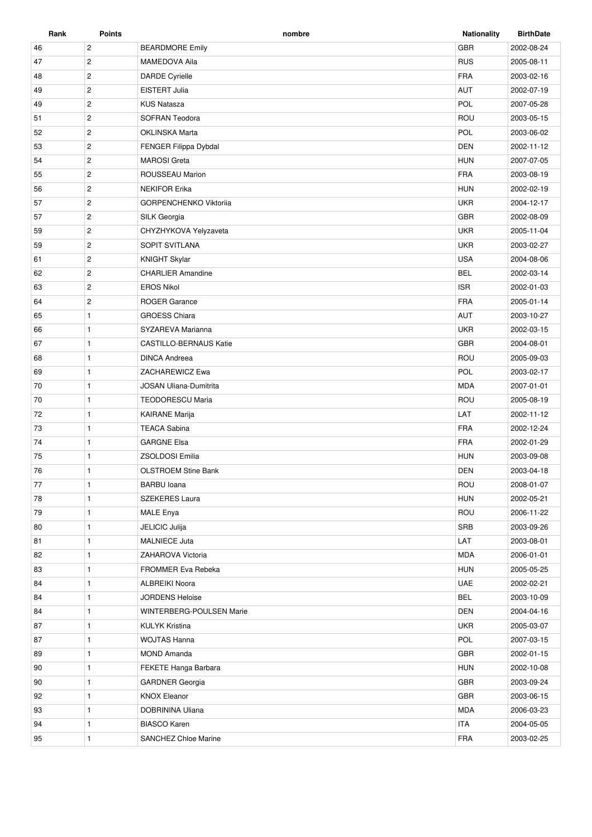| Rank | Points                | nombre                        | <b>Nationality</b> | <b>BirthDate</b> |
|------|-----------------------|-------------------------------|--------------------|------------------|
| 46   | $\overline{c}$        | <b>BEARDMORE Emily</b>        | <b>GBR</b>         | 2002-08-24       |
| 47   | $\mathbf{2}$          | <b>MAMEDOVA Aila</b>          | <b>RUS</b>         | 2005-08-11       |
| 48   | $\overline{2}$        | <b>DARDE Cyrielle</b>         | <b>FRA</b>         | 2003-02-16       |
| 49   | $\overline{c}$        | EISTERT Julia                 | <b>AUT</b>         | 2002-07-19       |
| 49   | $\overline{c}$        | <b>KUS Natasza</b>            | <b>POL</b>         | 2007-05-28       |
| 51   | $\overline{c}$        | <b>SOFRAN Teodora</b>         | ROU                | 2003-05-15       |
| 52   | $\overline{c}$        | <b>OKLINSKA Marta</b>         | POL                | 2003-06-02       |
| 53   | $\mathbf{2}^{\prime}$ | FENGER Filippa Dybdal         | <b>DEN</b>         | 2002-11-12       |
| 54   | $\overline{2}$        | <b>MAROSI</b> Greta           | <b>HUN</b>         | 2007-07-05       |
| 55   | $\overline{2}$        | ROUSSEAU Marion               | <b>FRA</b>         | 2003-08-19       |
| 56   | $\overline{c}$        | <b>NEKIFOR Erika</b>          | <b>HUN</b>         | 2002-02-19       |
| 57   | $\mathbf{2}$          | <b>GORPENCHENKO Viktorija</b> | <b>UKR</b>         | 2004-12-17       |
| 57   | $\overline{2}$        | SILK Georgia                  | <b>GBR</b>         | 2002-08-09       |
| 59   | $\overline{2}$        | CHYZHYKOVA Yelyzaveta         | <b>UKR</b>         | 2005-11-04       |
| 59   | $\mathbf{2}$          | SOPIT SVITLANA                | <b>UKR</b>         | 2003-02-27       |
| 61   | $\overline{2}$        | <b>KNIGHT Skylar</b>          | <b>USA</b>         | 2004-08-06       |
| 62   | $\overline{2}$        | <b>CHARLIER Amandine</b>      | <b>BEL</b>         | 2002-03-14       |
| 63   | $\overline{2}$        | <b>EROS Nikol</b>             | <b>ISR</b>         | 2002-01-03       |
| 64   | $\mathbf{2}^{\prime}$ | <b>ROGER Garance</b>          | <b>FRA</b>         | 2005-01-14       |
| 65   | $\mathbf{1}$          | <b>GROESS Chiara</b>          | <b>AUT</b>         | 2003-10-27       |
| 66   | $\mathbf{1}$          | SYZAREVA Marianna             | <b>UKR</b>         | 2002-03-15       |
| 67   | $\mathbf{1}$          | <b>CASTILLO-BERNAUS Katie</b> | <b>GBR</b>         | 2004-08-01       |
| 68   | $\mathbf{1}$          | <b>DINCA Andreea</b>          | ROU                | 2005-09-03       |
| 69   | $\mathbf{1}$          | ZACHAREWICZ Ewa               | POL                | 2003-02-17       |
| 70   | $\mathbf{1}$          | <b>JOSAN Uliana-Dumitrita</b> | <b>MDA</b>         | 2007-01-01       |
| 70   | $\mathbf{1}$          | <b>TEODORESCU Maria</b>       | ROU                | 2005-08-19       |
| 72   | $\mathbf{1}$          | <b>KAIRANE Marija</b>         | LAT                | 2002-11-12       |
| 73   | $\mathbf{1}$          | <b>TEACA Sabina</b>           | <b>FRA</b>         | 2002-12-24       |
| 74   | $\mathbf{1}$          | <b>GARGNE Elsa</b>            | <b>FRA</b>         | 2002-01-29       |
| 75   | $\mathbf{1}$          | <b>ZSOLDOSI Emilia</b>        | <b>HUN</b>         | 2003-09-08       |
| 76   | $\mathbf{1}$          | <b>OLSTROEM Stine Bank</b>    | <b>DEN</b>         | 2003-04-18       |
| 77   | 1                     | <b>BARBU</b> Ioana            | ROU                | 2008-01-07       |
| 78   | $\mathbf{1}$          | SZEKERES Laura                | <b>HUN</b>         | 2002-05-21       |
| 79   | $\mathbf{1}$          | <b>MALE Enya</b>              | ROU                | 2006-11-22       |
| 80   | $\mathbf{1}$          | JELICIC Julija                | SRB                | 2003-09-26       |
| 81   | $\mathbf{1}$          | <b>MALNIECE Juta</b>          | LAT                | 2003-08-01       |
| 82   | $\mathbf{1}$          | ZAHAROVA Victoria             | <b>MDA</b>         | 2006-01-01       |
| 83   | $\mathbf{1}$          | FROMMER Eva Rebeka            | <b>HUN</b>         | 2005-05-25       |
| 84   | $\mathbf{1}$          | <b>ALBREIKI Noora</b>         | UAE                | 2002-02-21       |
| 84   | $\mathbf{1}$          | <b>JORDENS Heloise</b>        | <b>BEL</b>         | 2003-10-09       |
| 84   | $\mathbf{1}$          | WINTERBERG-POULSEN Marie      | <b>DEN</b>         | 2004-04-16       |
| 87   | $\mathbf{1}$          | <b>KULYK Kristina</b>         | <b>UKR</b>         | 2005-03-07       |
| 87   | $\mathbf{1}$          | <b>WOJTAS Hanna</b>           | POL                | 2007-03-15       |
| 89   | $\mathbf{1}$          | <b>MOND Amanda</b>            | <b>GBR</b>         | 2002-01-15       |
| 90   | $\mathbf{1}$          | FEKETE Hanga Barbara          | <b>HUN</b>         | 2002-10-08       |
| 90   | $\mathbf{1}$          | <b>GARDNER Georgia</b>        | GBR                | 2003-09-24       |
| 92   | $\mathbf{1}$          | <b>KNOX Eleanor</b>           | <b>GBR</b>         | 2003-06-15       |
| 93   | $\mathbf{1}$          | DOBRININA Uliana              | <b>MDA</b>         | 2006-03-23       |
| 94   | $\mathbf{1}$          | <b>BIASCO Karen</b>           | <b>ITA</b>         | 2004-05-05       |
| 95   | 1                     | SANCHEZ Chloe Marine          | <b>FRA</b>         | 2003-02-25       |